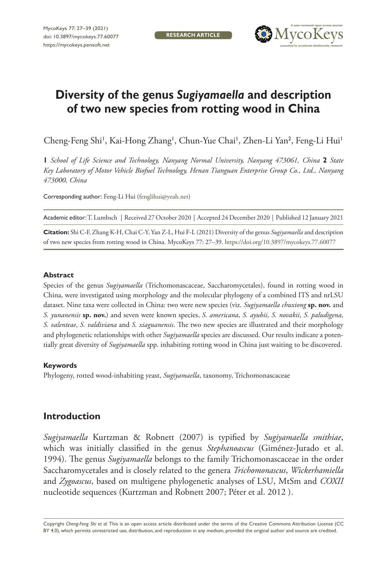**research article**



# **Diversity of the genus** *Sugiyamaella* **and description of two new species from rotting wood in China**

Cheng-Feng Shi', Kai-Hong Zhang', Chun-Yue Chai', Zhen-Li Yan<sup>2</sup>, Feng-Li Hui'

**1** *School of Life Science and Technology, Nanyang Normal University, Nanyang 473061, China* **2** *State Key Laboratory of Motor Vehicle Biofuel Technology, Henan Tianguan Enterprise Group Co., Ltd., Nanyang 473000, China*

Corresponding author: Feng-Li Hui [\(fenglihui@yeah.net\)](mailto:fenglihui@yeah.net)

Academic editor: T. Lumbsch | Received 27 October 2020 | Accepted 24 December 2020 | Published 12 January 2021

**Citation:** Shi C-F, Zhang K-H, Chai C-Y, Yan Z-L, Hui F-L (2021) Diversity of the genus *Sugiyamaella* and description of two new species from rotting wood in China. MycoKeys 77: 27–39. <https://doi.org/10.3897/mycokeys.77.60077>

#### **Abstract**

Species of the genus *Sugiyamaella* (Trichomonascaceae, Saccharomycetales), found in rotting wood in China, were investigated using morphology and the molecular phylogeny of a combined ITS and nrLSU dataset. Nine taxa were collected in China: two were new species (viz. *Sugiyamaella chuxiong* **sp. nov.** and *S. yunanensis* **sp. nov.**) and seven were known species, *S. americana*, *S. ayubii*, *S. novakii*, *S. paludigena*, *S. valenteae*, *S. valdiviana* and *S. xiaguanensis*. The two new species are illustrated and their morphology and phylogenetic relationships with other *Sugiyamaella* species are discussed. Our results indicate a potentially great diversity of *Sugiyamaella* spp. inhabiting rotting wood in China just waiting to be discovered.

#### **Keywords**

Phylogeny, rotted wood-inhabiting yeast, *Sugiyamaella*, taxonomy, Trichomonascaceae

# **Introduction**

*Sugiyamaella* Kurtzman & Robnett (2007) is typified by *Sugiyamaella smithiae*, which was initially classified in the genus *Stephanoascus* (Giménez-Jurado et al. 1994). The genus *Sugiyamaella* belongs to the family Trichomonascaceae in the order Saccharomycetales and is closely related to the genera *Trichomonascus*, *Wickerhamiella* and *Zygoascus*, based on multigene phylogenetic analyses of LSU, MtSm and *COXII* nucleotide sequences (Kurtzman and Robnett 2007; Péter et al. 2012 ).

Copyright *Cheng-Feng Shi et al.* This is an open access article distributed under the terms of the [Creative Commons Attribution License \(CC](http://creativecommons.org/licenses/by/4.0/)  [BY 4.0\)](http://creativecommons.org/licenses/by/4.0/), which permits unrestricted use, distribution, and reproduction in any medium, provided the original author and source are credited.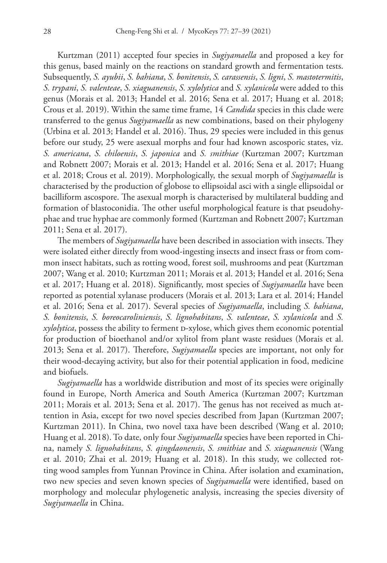Kurtzman (2011) accepted four species in *Sugiyamaella* and proposed a key for this genus, based mainly on the reactions on standard growth and fermentation tests. Subsequently, *S. ayubii*, *S. bahiana*, *S. bonitensis*, *S. carassensis*, *S. ligni*, *S. mastotermitis*, *S. trypani*, *S. valenteae*, *S. xiaguanensis*, *S. xylolytica* and *S. xylanicola* were added to this genus (Morais et al. 2013; Handel et al. 2016; Sena et al. 2017; Huang et al. 2018; Crous et al. 2019). Within the same time frame, 14 *Candida* species in this clade were transferred to the genus *Sugiyamaella* as new combinations, based on their phylogeny (Urbina et al. 2013; Handel et al. 2016). Thus, 29 species were included in this genus before our study, 25 were asexual morphs and four had known ascosporic states, viz. *S. americana*, *S. chiloensis*, *S. japonica* and *S. smithiae* (Kurtzman 2007; Kurtzman and Robnett 2007; Morais et al. 2013; Handel et al. 2016; Sena et al. 2017; Huang et al. 2018; Crous et al. 2019). Morphologically, the sexual morph of *Sugiyamaella* is characterised by the production of globose to ellipsoidal asci with a single ellipsoidal or bacilliform ascospore. The asexual morph is characterised by multilateral budding and formation of blastoconidia. The other useful morphological feature is that pseudohyphae and true hyphae are commonly formed (Kurtzman and Robnett 2007; Kurtzman 2011; Sena et al. 2017).

The members of *Sugiyamaella* have been described in association with insects. They were isolated either directly from wood-ingesting insects and insect frass or from common insect habitats, such as rotting wood, forest soil, mushrooms and peat (Kurtzman 2007; Wang et al. 2010; Kurtzman 2011; Morais et al. 2013; Handel et al. 2016; Sena et al. 2017; Huang et al. 2018). Significantly, most species of *Sugiyamaella* have been reported as potential xylanase producers (Morais et al. 2013; Lara et al. 2014; Handel et al. 2016; Sena et al. 2017). Several species of *Sugiyamaella*, including *S. bahiana*, *S. bonitensis*, *S. boreocaroliniensis*, *S. lignohabitans*, *S. valenteae*, *S. xylanicola* and *S. xylolytica*, possess the ability to ferment D-xylose, which gives them economic potential for production of bioethanol and/or xylitol from plant waste residues (Morais et al. 2013; Sena et al. 2017). Therefore, *Sugiyamaella* species are important, not only for their wood-decaying activity, but also for their potential application in food, medicine and biofuels.

*Sugiyamaella* has a worldwide distribution and most of its species were originally found in Europe, North America and South America (Kurtzman 2007; Kurtzman 2011; Morais et al. 2013; Sena et al. 2017). The genus has not received as much attention in Asia, except for two novel species described from Japan (Kurtzman 2007; Kurtzman 2011). In China, two novel taxa have been described (Wang et al. 2010; Huang et al. 2018). To date, only four *Sugiyamaella* species have been reported in China, namely *S. lignohabitans*, *S. qingdaonensis*, *S. smithiae* and *S. xiaguanensis* (Wang et al. 2010; Zhai et al. 2019; Huang et al. 2018). In this study, we collected rotting wood samples from Yunnan Province in China. After isolation and examination, two new species and seven known species of *Sugiyamaella* were identified, based on morphology and molecular phylogenetic analysis, increasing the species diversity of *Sugiyamaella* in China.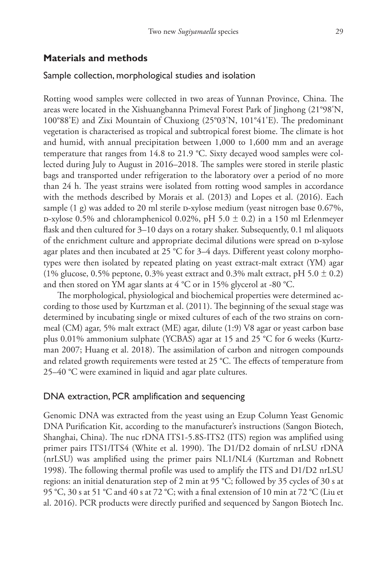# **Materials and methods**

# Sample collection, morphological studies and isolation

Rotting wood samples were collected in two areas of Yunnan Province, China. The areas were located in the Xishuangbanna Primeval Forest Park of Jinghong (21°98'N, 100°88'E) and Zixi Mountain of Chuxiong (25°03'N, 101°41'E). The predominant vegetation is characterised as tropical and subtropical forest biome. The climate is hot and humid, with annual precipitation between 1,000 to 1,600 mm and an average temperature that ranges from 14.8 to 21.9 °C. Sixty decayed wood samples were collected during July to August in 2016–2018. The samples were stored in sterile plastic bags and transported under refrigeration to the laboratory over a period of no more than 24 h. The yeast strains were isolated from rotting wood samples in accordance with the methods described by Morais et al. (2013) and Lopes et al. (2016). Each sample (1 g) was added to 20 ml sterile D-xylose medium (yeast nitrogen base 0.67%, D-xylose 0.5% and chloramphenicol 0.02%, pH 5.0  $\pm$  0.2) in a 150 ml Erlenmeyer flask and then cultured for 3–10 days on a rotary shaker. Subsequently, 0.1 ml aliquots of the enrichment culture and appropriate decimal dilutions were spread on  $D$ -xylose agar plates and then incubated at 25 °C for 3–4 days. Different yeast colony morphotypes were then isolated by repeated plating on yeast extract-malt extract (YM) agar (1% glucose, 0.5% peptone, 0.3% yeast extract and 0.3% malt extract, pH 5.0  $\pm$  0.2) and then stored on YM agar slants at 4 °C or in 15% glycerol at -80 °C.

The morphological, physiological and biochemical properties were determined according to those used by Kurtzman et al. (2011). The beginning of the sexual stage was determined by incubating single or mixed cultures of each of the two strains on cornmeal (CM) agar, 5% malt extract (ME) agar, dilute (1:9) V8 agar or yeast carbon base plus 0.01% ammonium sulphate (YCBAS) agar at 15 and 25 °C for 6 weeks (Kurtzman 2007; Huang et al. 2018). The assimilation of carbon and nitrogen compounds and related growth requirements were tested at 25 °C. The effects of temperature from 25–40 °C were examined in liquid and agar plate cultures.

# DNA extraction, PCR amplification and sequencing

Genomic DNA was extracted from the yeast using an Ezup Column Yeast Genomic DNA Purification Kit, according to the manufacturer's instructions (Sangon Biotech, Shanghai, China). The nuc rDNA ITS1-5.8S-ITS2 (ITS) region was amplified using primer pairs ITS1/ITS4 (White et al. 1990). The D1/D2 domain of nrLSU rDNA (nrLSU) was amplified using the primer pairs NL1/NL4 (Kurtzman and Robnett 1998). The following thermal profile was used to amplify the ITS and D1/D2 nrLSU regions: an initial denaturation step of 2 min at 95 °C; followed by 35 cycles of 30 s at 95 °C, 30 s at 51 °C and 40 s at 72 °C; with a final extension of 10 min at 72 °C (Liu et al. 2016). PCR products were directly purified and sequenced by Sangon Biotech Inc.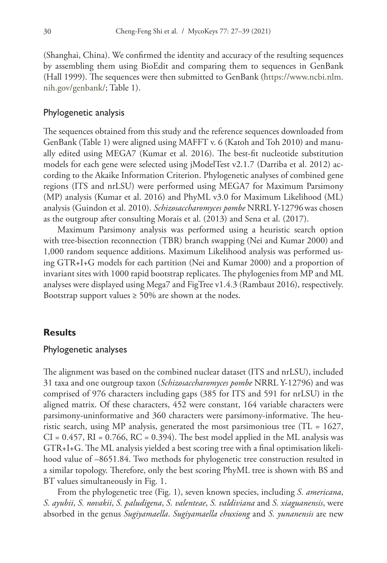(Shanghai, China). We confirmed the identity and accuracy of the resulting sequences by assembling them using BioEdit and comparing them to sequences in GenBank (Hall 1999). The sequences were then submitted to GenBank ([https://www.ncbi.nlm.](https://www.ncbi.nlm.nih.gov/genbank/) [nih.gov/genbank/;](https://www.ncbi.nlm.nih.gov/genbank/) Table 1).

#### Phylogenetic analysis

The sequences obtained from this study and the reference sequences downloaded from GenBank (Table 1) were aligned using MAFFT v. 6 (Katoh and Toh 2010) and manually edited using MEGA7 (Kumar et al. 2016). The best-fit nucleotide substitution models for each gene were selected using jModelTest v2.1.7 (Darriba et al. 2012) according to the Akaike Information Criterion. Phylogenetic analyses of combined gene regions (ITS and nrLSU) were performed using MEGA7 for Maximum Parsimony (MP) analysis (Kumar et al. 2016) and PhyML v3.0 for Maximum Likelihood (ML) analysis (Guindon et al. 2010). *Schizosaccharomyces pombe* NRRL Y-12796was chosen as the outgroup after consulting Morais et al. (2013) and Sena et al. (2017).

Maximum Parsimony analysis was performed using a heuristic search option with tree-bisection reconnection (TBR) branch swapping (Nei and Kumar 2000) and 1,000 random sequence additions. Maximum Likelihood analysis was performed using GTR+I+G models for each partition (Nei and Kumar 2000) and a proportion of invariant sites with 1000 rapid bootstrap replicates. The phylogenies from MP and ML analyses were displayed using Mega7 and FigTree v1.4.3 (Rambaut 2016), respectively. Bootstrap support values  $\geq 50\%$  are shown at the nodes.

# **Results**

#### Phylogenetic analyses

The alignment was based on the combined nuclear dataset (ITS and nrLSU), included 31 taxa and one outgroup taxon (*Schizosaccharomyces pombe* NRRL Y-12796) and was comprised of 976 characters including gaps (385 for ITS and 591 for nrLSU) in the aligned matrix. Of these characters, 452 were constant, 164 variable characters were parsimony-uninformative and 360 characters were parsimony-informative. The heuristic search, using MP analysis, generated the most parsimonious tree (TL =  $1627$ ,  $CI = 0.457$ ,  $RI = 0.766$ ,  $RC = 0.394$ . The best model applied in the ML analysis was GTR+I+G. The ML analysis yielded a best scoring tree with a final optimisation likelihood value of  $-8651.84$ . Two methods for phylogenetic tree construction resulted in a similar topology. Therefore, only the best scoring PhyML tree is shown with BS and BT values simultaneously in Fig. 1.

From the phylogenetic tree (Fig. 1), seven known species, including *S. americana*, *S. ayubii*, *S. novakii*, *S. paludigena*, *S. valenteae*, *S. valdiviana* and *S. xiaguanensis*, were absorbed in the genus *Sugiyamaella*. *Sugiyamaella chuxiong* and *S. yunanensis* are new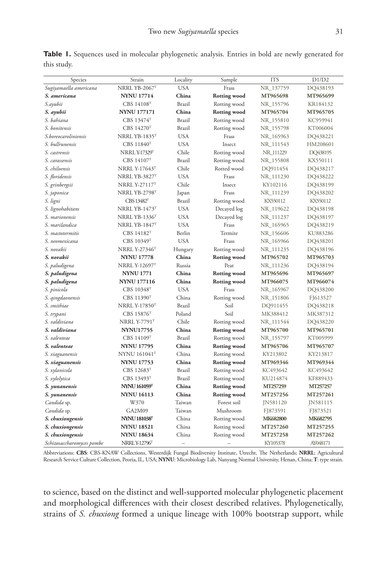| Species                   | Strain                    | Locality   | Sample              | <b>ITS</b>      | D1/D2    |
|---------------------------|---------------------------|------------|---------------------|-----------------|----------|
| Sugiyamaella americana    | NRRL YB-2067T             | <b>USA</b> | Frass               | NR_137759       | DQ438193 |
| S. americana              | <b>NYNU 17714</b>         | China      | <b>Rotting wood</b> | MT965698        | MT965699 |
| S.ayubii                  | CBS 14108 <sup>T</sup>    | Brazil     | Rotting wood        | NR_155796       | KR184132 |
| S. ayubii                 | <b>NYNU 177171</b>        | China      | <b>Rotting wood</b> | MT965704        | MT965705 |
| S. bahiana                | CBS 13474T                | Brazil     | Rotting wood        | NR_155810       | KC959941 |
| S. bonitensis             | CBS 14270T                | Brazil     | Rotting wood        | NR_155798       | KT006004 |
| S.boreocaroliniensis      | NRRL YB-1835 <sup>T</sup> | <b>USA</b> | Frass               | NR_165963       | DQ438221 |
| S. bullrunensis           | CBS 11840 <sup>T</sup>    | <b>USA</b> | Insect              | NR_111543       | HM208601 |
| S. castrensis             | <b>NRRLY-17329T</b>       | Chile      | Rotting wood        | NR_111229       | DQ438195 |
| S. carassensis            | CBS 14107T                | Brazil     | Rotting wood        | NR_155808       | KX550111 |
| S. chiloensis             | <b>NRRL Y-17643T</b>      | Chile      | Rotted wood         | DQ911454        | DQ438217 |
| S. floridensis            | NRRL YB-3827T             | <b>USA</b> | Frass               | NR_111230       | DQ438222 |
| S. grinbergsii            | <b>NRRL Y-27117T</b>      | Chile      | Insect              | KY102116        | DQ438199 |
| S. japonica               | NRRL YB-2798T             | Japan      | Frass               | NR_111239       | DQ438202 |
| S. ligni                  | CBS 13482 <sup>T</sup>    | Brazil     | Rotting wood        | KX550112        | KX550112 |
| S. lignohabitans          | NRRL YB-1473T             | <b>USA</b> | Decayed log         | NR_119622       | DQ438198 |
| S. marionensis            | NRRL YB-1336T             | <b>USA</b> | Decayed log         | NR_111237       | DQ438197 |
| S. marilandica            | NRRL YB-1847T             | <b>USA</b> | Frass               | NR_165965       | DQ438219 |
| S. mastotermitis          | CBS 14182 <sup>T</sup>    | Berlin     | Termite             | NR_156606       | KU883286 |
| S. neomexicana            | CBS $10349T$              | <b>USA</b> | Frass               | NR_165966       | DQ438201 |
| S. novakii                | <b>NRRL Y-27346T</b>      | Hungary    | Rotting wood        | NR_111235       | DQ438196 |
| S. novakii                | <b>NYNU 17778</b>         | China      | <b>Rotting wood</b> | MT965702        | MT965703 |
| S. paludigena             | <b>NRRL Y-12697T</b>      | Russia     | Peat                | NR_111236       | DQ438194 |
| S. paludigena             | <b>NYNU 1771</b>          | China      | <b>Rotting wood</b> | MT965696        | MT965697 |
| S. paludigena             | <b>NYNU 177116</b>        | China      | <b>Rotting wood</b> | MT966075        | MT966074 |
| S. pinicola               | CBS 10348 <sup>T</sup>    | <b>USA</b> | Frass               | NR_165967       | DQ438200 |
| S. qingdaonensis          | CBS 11390 <sup>T</sup>    | China      | Rotting wood        | NR_151806       | FJ613527 |
| S. smithiae               | <b>NRRL Y-17850T</b>      | Brazil     | Soil                | DQ911455        | DQ438218 |
| S. trypani                | CBS 15876 <sup>T</sup>    | Poland     | Soil                | MK388412        | MK387312 |
| S. valdiviana             | <b>NRRL Y-7791T</b>       | Chile      | Rotting wood        | NR_111544       | DQ438220 |
| S. valdiviana             | <b>NYNU17755</b>          | China      | <b>Rotting wood</b> | MT965700        | MT965701 |
| S. valenteae              | CBS 14109 <sup>T</sup>    | Brazil     | Rotting wood        | NR_155797       | KT005999 |
| S. valenteae              | <b>NYNU 17795</b>         | China      | <b>Rotting wood</b> | MT965706        | MT965707 |
| S. xiaguanensis           | <b>NYNU 161041T</b>       | China      | Rotting wood        | KY213802        | KY213817 |
| S. xiaguanensis           | <b>NYNU 17753</b>         | China      | <b>Rotting wood</b> | MT969346        | MT969344 |
| S. xylanicola             | CBS 12683T                | Brazil     | Rotting wood        | KC493642        | KC493642 |
| S. xylolytica             | CBS 13493 <sup>T</sup>    | Brazil     | Rotting wood        | KU214874        | KF889433 |
| S. yunanensis             | <b>NYNU161059T</b>        | China      | <b>Rotting wood</b> | MT257259        | MT257257 |
| S. yunanensis             | <b>NYNU 16113</b>         | China      | <b>Rotting wood</b> | MT257256        | MT257261 |
| Candida sp.               | W370                      | Taiwan     | Forest soil         | JN581120        | JN581115 |
| Candida sp.               | GA2M09                    | Taiwan     | Mushroom            | FJ873591        | FJ873521 |
| S. chuxiongensis          | <b>NYNU181038T</b>        | China      | Rotting wood        | <b>MK682800</b> | MK682795 |
| S. chuxiongensis          | <b>NYNU 18521</b>         | China      | Rotting wood        | MT257260        | MT257255 |
| S. chuxiongensis          | <b>NYNU 18634</b>         | China      | Rotting wood        | MT257258        | MT257262 |
| Schizosaccharomyces pombe | NRRLY-12796 <sup>T</sup>  |            |                     | KY105378        | AY048171 |

**Table 1.** Sequences used in molecular phylogenetic analysis. Entries in bold are newly generated for this study.

Abbreviations: **CBS**: CBS-KNAW Collections, Westerdijk Fungal Biodiversity Institute, Utrecht, The Netherlands; **NRRL**: Agricultural Research Service Culture Collection, Peoria, IL, USA; **NYNU**: Microbiology Lab, Nanyang Normal University, Henan, China; **T**: type strain.

to science, based on the distinct and well-supported molecular phylogenetic placement and morphological differences with their closest described relatives. Phylogenetically, strains of *S. chuxiong* formed a unique lineage with 100% bootstrap support, while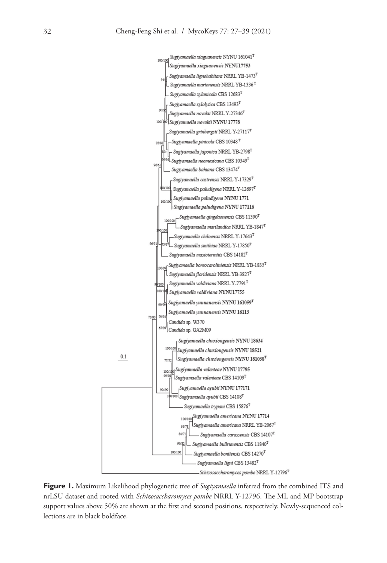

**Figure 1.** Maximum Likelihood phylogenetic tree of *Sugiyamaella* inferred from the combined ITS and nrLSU dataset and rooted with *Schizosaccharomyces pombe* NRRL Y-12796. The ML and MP bootstrap support values above 50% are shown at the first and second positions, respectively. Newly-sequenced collections are in black boldface.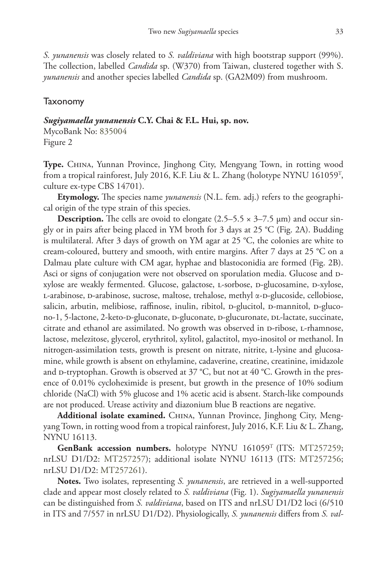*S. yunanensis* was closely related to *S. valdiviana* with high bootstrap support (99%). The collection, labelled *Candida* sp. (W370) from Taiwan, clustered together with S. *yunanensis* and another species labelled *Candida* sp. (GA2M09) from mushroom.

# Taxonomy

# *Sugiyamaella yunanensis* **C.Y. Chai & F.L. Hui, sp. nov.**

MycoBank No: [835004](http://www.mycobank.org/MycoTaxo.aspx?Link=T&Rec=835004) Figure 2

**Type.** China, Yunnan Province, Jinghong City, Mengyang Town, in rotting wood from a tropical rainforest, July 2016, K.F. Liu & L. Zhang (holotype NYNU 161059<sup>T</sup>, culture ex-type CBS 14701).

**Etymology.** The species name *yunanensis* (N.L. fem. adj.) refers to the geographical origin of the type strain of this species.

**Description.** The cells are ovoid to elongate  $(2.5-5.5 \times 3-7.5 \mu m)$  and occur singly or in pairs after being placed in YM broth for 3 days at 25 °C (Fig. 2A). Budding is multilateral. After 3 days of growth on YM agar at 25 °C, the colonies are white to cream-coloured, buttery and smooth, with entire margins. After 7 days at 25 °C on a Dalmau plate culture with CM agar, hyphae and blastoconidia are formed (Fig. 2B). Asci or signs of conjugation were not observed on sporulation media. Glucose and pxylose are weakly fermented. Glucose, galactose, L-sorbose, D-glucosamine, D-xylose,  $L$ -arabinose,  $D$ -arabinose, sucrose, maltose, trehalose, methyl  $\alpha$ - $D$ -glucoside, cellobiose, salicin, arbutin, melibiose, raffinose, inulin, ribitol, p-glucitol, p-mannitol, p-glucono-1, 5-lactone, 2-keto-D-gluconate, D-gluconate, D-glucuronate, DL-lactate, succinate, citrate and ethanol are assimilated. No growth was observed in  $D$ -ribose, L-rhamnose, lactose, melezitose, glycerol, erythritol, xylitol, galactitol, myo-inositol or methanol. In nitrogen-assimilation tests, growth is present on nitrate, nitrite, l-lysine and glucosamine, while growth is absent on ethylamine, cadaverine, creatine, creatinine, imidazole and D-tryptophan. Growth is observed at 37  $^{\circ}$ C, but not at 40  $^{\circ}$ C. Growth in the presence of 0.01% cycloheximide is present, but growth in the presence of 10% sodium chloride (NaCl) with 5% glucose and 1% acetic acid is absent. Starch-like compounds are not produced. Urease activity and diazonium blue B reactions are negative.

Additional isolate examined. CHINA, Yunnan Province, Jinghong City, Mengyang Town, in rotting wood from a tropical rainforest, July 2016, K.F. Liu & L. Zhang, NYNU 16113.

**GenBank accession numbers.** holotype NYNU 161059<sup>T</sup> (ITS: [MT257259;](http://www.ncbi.nlm.nih.gov/nuccore/MT257259) nrLSU D1/D2: [MT257257](http://www.ncbi.nlm.nih.gov/nuccore/MT257257)); additional isolate NYNU 16113 (ITS: [MT257256;](http://www.ncbi.nlm.nih.gov/nuccore/MT257256) nrLSU D1/D2: [MT257261\)](http://www.ncbi.nlm.nih.gov/nuccore/MT257261).

**Notes.** Two isolates, representing *S. yunanensis*, are retrieved in a well-supported clade and appear most closely related to *S. valdiviana* (Fig. 1). *Sugiyamaella yunanensis* can be distinguished from *S. valdiviana*, based on ITS and nrLSU D1/D2 loci (6/510 in ITS and 7/557 in nrLSU D1/D2). Physiologically, *S. yunanensis* differs from *S. val-*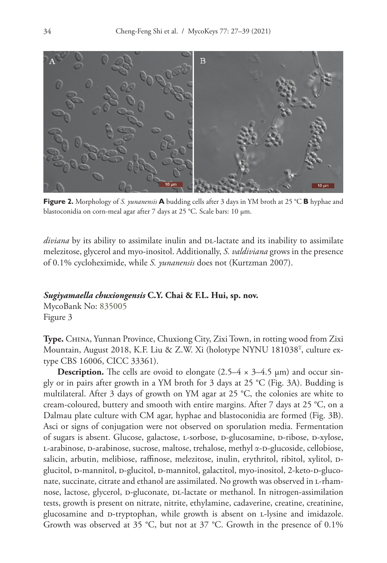

**Figure 2.** Morphology of *S. yunanensis* **A** budding cells after 3 days in YM broth at 25 °C **B** hyphae and blastoconidia on corn-meal agar after 7 days at 25 °C. Scale bars: 10 μm.

*diviana* by its ability to assimilate inulin and DL-lactate and its inability to assimilate melezitose, glycerol and myo-inositol. Additionally, *S. valdiviana* grows in the presence of 0.1% cycloheximide, while *S. yunanensis* does not (Kurtzman 2007).

*Sugiyamaella chuxiongensis* **C.Y. Chai & F.L. Hui, sp. nov.**

MycoBank No: [835005](http://www.mycobank.org/MycoTaxo.aspx?Link=T&Rec=835005) Figure 3

**Type.** China, Yunnan Province, Chuxiong City, Zixi Town, in rotting wood from Zixi Mountain, August 2018, K.F. Liu & Z.W. Xi (holotype NYNU 181038T , culture extype CBS 16006, CICC 33361).

**Description.** The cells are ovoid to elongate  $(2.5-4 \times 3-4.5 \mu m)$  and occur singly or in pairs after growth in a YM broth for 3 days at 25 °C (Fig. 3A). Budding is multilateral. After 3 days of growth on YM agar at 25 °C, the colonies are white to cream-coloured, buttery and smooth with entire margins. After 7 days at 25 °C, on a Dalmau plate culture with CM agar, hyphae and blastoconidia are formed (Fig. 3B). Asci or signs of conjugation were not observed on sporulation media. Fermentation of sugars is absent. Glucose, galactose, L-sorbose, D-glucosamine, D-ribose, D-xylose,  $L$ -arabinose,  $D$ -arabinose, sucrose, maltose, trehalose, methyl  $\alpha$ - $D$ -glucoside, cellobiose, salicin, arbutin, melibiose, raffinose, melezitose, inulin, erythritol, ribitol, xylitol, Dglucitol, p-mannitol, p-glucitol, p-mannitol, galactitol, myo-inositol, 2-keto-p-gluconate, succinate, citrate and ethanol are assimilated. No growth was observed in l-rhamnose, lactose, glycerol, p-gluconate, p<sub>L</sub>-lactate or methanol. In nitrogen-assimilation tests, growth is present on nitrate, nitrite, ethylamine, cadaverine, creatine, creatinine, glucosamine and D-tryptophan, while growth is absent on L-lysine and imidazole. Growth was observed at 35 °C, but not at 37 °C. Growth in the presence of 0.1%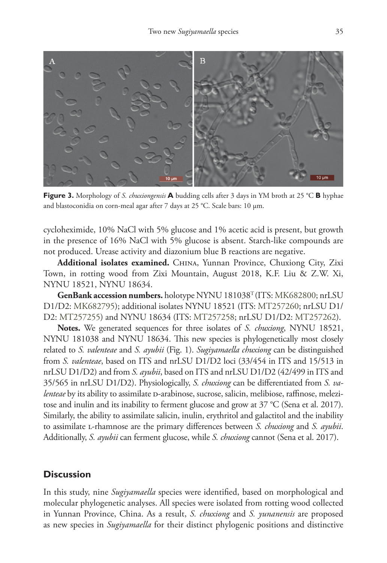

**Figure 3.** Morphology of *S. chuxiongensis* **A** budding cells after 3 days in YM broth at 25 °C **B** hyphae and blastoconidia on corn-meal agar after 7 days at 25 °C. Scale bars: 10 μm.

cycloheximide, 10% NaCl with 5% glucose and 1% acetic acid is present, but growth in the presence of 16% NaCl with 5% glucose is absent. Starch-like compounds are not produced. Urease activity and diazonium blue B reactions are negative.

**Additional isolates examined.** China, Yunnan Province, Chuxiong City, Zixi Town, in rotting wood from Zixi Mountain, August 2018, K.F. Liu & Z.W. Xi, NYNU 18521, NYNU 18634.

**GenBank accession numbers.** holotype NYNU 181038T (ITS: [MK682800;](http://www.ncbi.nlm.nih.gov/nuccore/MK682800) nrLSU D1/D2: [MK682795\)](http://www.ncbi.nlm.nih.gov/nuccore/MK682795); additional isolates NYNU 18521 (ITS: [MT257260](http://www.ncbi.nlm.nih.gov/nuccore/MT257260); nrLSU D1/ D2: [MT257255](http://www.ncbi.nlm.nih.gov/nuccore/MT257255)) and NYNU 18634 (ITS: [MT257258;](http://www.ncbi.nlm.nih.gov/nuccore/MT257258) nrLSU D1/D2: [MT257262](http://www.ncbi.nlm.nih.gov/nuccore/MT257262)).

**Notes.** We generated sequences for three isolates of *S. chuxiong*, NYNU 18521, NYNU 181038 and NYNU 18634. This new species is phylogenetically most closely related to *S. valenteae* and *S. ayubii* (Fig. 1). *Sugiyamaella chuxiong* can be distinguished from *S. valenteae*, based on ITS and nrLSU D1/D2 loci (33/454 in ITS and 15/513 in nrLSU D1/D2) and from *S. ayubii*, based on ITS and nrLSU D1/D2 (42/499 in ITS and 35/565 in nrLSU D1/D2). Physiologically, *S. chuxiong* can be differentiated from *S. valenteae* by its ability to assimilate D-arabinose, sucrose, salicin, melibiose, raffinose, melezitose and inulin and its inability to ferment glucose and grow at 37 °C (Sena et al. 2017). Similarly, the ability to assimilate salicin, inulin, erythritol and galactitol and the inability to assimilate l-rhamnose are the primary differences between *S. chuxiong* and *S. ayubii*. Additionally, *S. ayubii* can ferment glucose, while *S. chuxiong* cannot (Sena et al. 2017).

# **Discussion**

In this study, nine *Sugiyamaella* species were identified, based on morphological and molecular phylogenetic analyses. All species were isolated from rotting wood collected in Yunnan Province, China. As a result, *S. chuxiong* and *S. yunanensis* are proposed as new species in *Sugiyamaella* for their distinct phylogenic positions and distinctive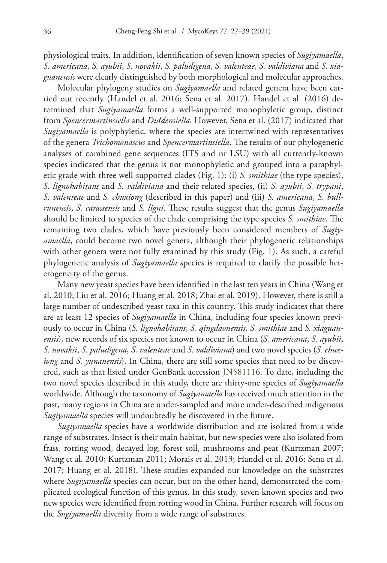physiological traits. In addition, identification of seven known species of *Sugiyamaella*, *S. americana*, *S. ayubii*, *S. novakii*, *S. paludigena*, *S. valenteae*, *S. valdiviana* and *S. xiaguanensis* were clearly distinguished by both morphological and molecular approaches.

Molecular phylogeny studies on *Sugiyamaella* and related genera have been carried out recently (Handel et al. 2016; Sena et al. 2017). Handel et al. (2016) determined that *Sugiyamaella* forms a well-supported monophyletic group, distinct from *Spencermartinsiella* and *Diddensiella*. However, Sena et al. (2017) indicated that *Sugiyamaella* is polyphyletic, where the species are intertwined with representatives of the genera *Trichomonascus* and *Spencermartinsiella*. The results of our phylogenetic analyses of combined gene sequences (ITS and nr LSU) with all currently-known species indicated that the genus is not monophyletic and grouped into a paraphyletic grade with three well-supported clades (Fig. 1): (i) *S. smithiae* (the type species), *S. lignohabitans* and *S. valdiviana* and their related species, (ii) *S. ayubii*, *S. trypani*, *S. valenteae* and *S. chuxiong* (described in this paper) and (iii) *S. americana*, *S. bullrunensis*, *S. carassensis* and *S. ligni*. These results suggest that the genus *Sugiyamaella* should be limited to species of the clade comprising the type species *S. smithiae*. The remaining two clades, which have previously been considered members of *Sugiyamaella*, could become two novel genera, although their phylogenetic relationships with other genera were not fully examined by this study (Fig. 1). As such, a careful phylogenetic analysis of *Sugiyamaella* species is required to clarify the possible heterogeneity of the genus.

Many new yeast species have been identified in the last ten years in China (Wang et al. 2010; Liu et al. 2016; Huang et al. 2018; Zhai et al. 2019). However, there is still a large number of undescribed yeast taxa in this country. This study indicates that there are at least 12 species of *Sugiyamaella* in China, including four species known previously to occur in China (*S. lignohabitans*, *S. qingdaonensis*, *S. smithiae* and *S. xiaguanensis*), new records of six species not known to occur in China (*S. americana*, *S. ayubii*, *S. novakii*, *S. paludigena*, *S. valenteae* and *S. valdiviana*) and two novel species (*S. chuxiong* and *S. yunanensis*). In China, there are still some species that need to be discovered, such as that listed under GenBank accession [JN581116.](http://www.ncbi.nlm.nih.gov/nuccore/JN581116) To date, including the two novel species described in this study, there are thirty-one species of *Sugiyamaella* worldwide. Although the taxonomy of *Sugiyamaella* has received much attention in the past, many regions in China are under-sampled and more under-described indigenous *Sugiyamaella* species will undoubtedly be discovered in the future.

*Sugiyamaella* species have a worldwide distribution and are isolated from a wide range of substrates. Insect is their main habitat, but new species were also isolated from frass, rotting wood, decayed log, forest soil, mushrooms and peat (Kurtzman 2007; Wang et al. 2010; Kurtzman 2011; Morais et al. 2013; Handel et al. 2016; Sena et al. 2017; Huang et al. 2018). These studies expanded our knowledge on the substrates where *Sugiyamaella* species can occur, but on the other hand, demonstrated the complicated ecological function of this genus. In this study, seven known species and two new species were identified from rotting wood in China. Further research will focus on the *Sugiyamaella* diversity from a wide range of substrates.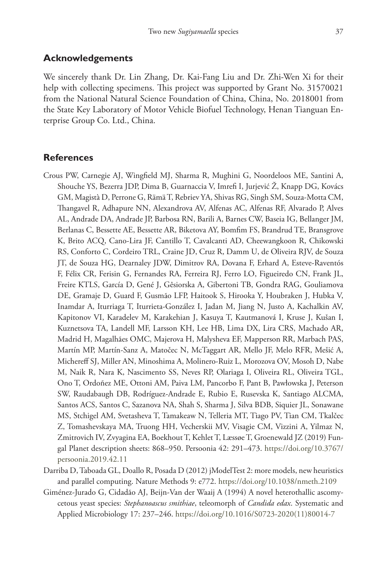# **Acknowledgements**

We sincerely thank Dr. Lin Zhang, Dr. Kai-Fang Liu and Dr. Zhi-Wen Xi for their help with collecting specimens. This project was supported by Grant No. 31570021 from the National Natural Science Foundation of China, China, No. 2018001 from the State Key Laboratory of Motor Vehicle Biofuel Technology, Henan Tianguan Enterprise Group Co. Ltd., China.

# **References**

- Crous PW, Carnegie AJ, Wingfield MJ, Sharma R, Mughini G, Noordeloos ME, Santini A, Shouche YS, Bezerra JDP, Dima B, Guarnaccia V, Imrefi I, Jurjević Ž, Knapp DG, Kovács GM, Magistà D, Perrone G, Rämä T, Rebriev YA, Shivas RG, Singh SM, Souza-Motta CM, Thangavel R, Adhapure NN, Alexandrova AV, Alfenas AC, Alfenas RF, Alvarado P, Alves AL, Andrade DA, Andrade JP, Barbosa RN, Barili A, Barnes CW, Baseia IG, Bellanger JM, Berlanas C, Bessette AE, Bessette AR, Biketova AY, Bomfim FS, Brandrud TE, Bransgrove K, Brito ACQ, Cano-Lira JF, Cantillo T, Cavalcanti AD, Cheewangkoon R, Chikowski RS, Conforto C, Cordeiro TRL, Craine JD, Cruz R, Damm U, de Oliveira RJV, de Souza JT, de Souza HG, Dearnaley JDW, Dimitrov RA, Dovana F, Erhard A, Esteve-Raventós F, Félix CR, Ferisin G, Fernandes RA, Ferreira RJ, Ferro LO, Figueiredo CN, Frank JL, Freire KTLS, García D, Gené J, Gêsiorska A, Gibertoni TB, Gondra RAG, Gouliamova DE, Gramaje D, Guard F, Gusmão LFP, Haitook S, Hirooka Y, Houbraken J, Hubka V, Inamdar A, Iturriaga T, Iturrieta-González I, Jadan M, Jiang N, Justo A, Kachalkin AV, Kapitonov VI, Karadelev M, Karakehian J, Kasuya T, Kautmanová I, Kruse J, Kušan I, Kuznetsova TA, Landell MF, Larsson KH, Lee HB, Lima DX, Lira CRS, Machado AR, Madrid H, Magalhães OMC, Majerova H, Malysheva EF, Mapperson RR, Marbach PAS, Martín MP, Martín-Sanz A, Matočec N, McTaggart AR, Mello JF, Melo RFR, Mešić A, Michereff SJ, Miller AN, Minoshima A, Molinero-Ruiz L, Morozova OV, Mosoh D, Nabe M, Naik R, Nara K, Nascimento SS, Neves RP, Olariaga I, Oliveira RL, Oliveira TGL, Ono T, Ordoñez ME, Ottoni AM, Paiva LM, Pancorbo F, Pant B, Pawłowska J, Peterson SW, Raudabaugh DB, Rodríguez-Andrade E, Rubio E, Rusevska K, Santiago ALCMA, Santos ACS, Santos C, Sazanova NA, Shah S, Sharma J, Silva BDB, Siquier JL, Sonawane MS, Stchigel AM, Svetasheva T, Tamakeaw N, Telleria MT, Tiago PV, Tian CM, Tkalčec Z, Tomashevskaya MA, Truong HH, Vecherskii MV, Visagie CM, Vizzini A, Yilmaz N, Zmitrovich IV, Zvyagina EA, Boekhout T, Kehlet T, Læssøe T, Groenewald JZ (2019) Fungal Planet description sheets: 868–950. Persoonia 42: 291–473. [https://doi.org/10.3767/](https://doi.org/10.3767/persoonia.2019.42.11) [persoonia.2019.42.11](https://doi.org/10.3767/persoonia.2019.42.11)
- Darriba D, Taboada GL, Doallo R, Posada D (2012) jModelTest 2: more models, new heuristics and parallel computing. Nature Methods 9: e772.<https://doi.org/10.1038/nmeth.2109>
- Giménez-Jurado G, Cidadão AJ, Beijn-Van der Waaij A (1994) A novel heterothallic ascomycetous yeast species: *Stephanoascus smithiae*, teleomorph of *Candida edax*. Systematic and Applied Microbiology 17: 237–246. [https://doi.org/10.1016/S0723-2020\(11\)80014-7](https://doi.org/10.1016/S0723-2020(11)80014-7)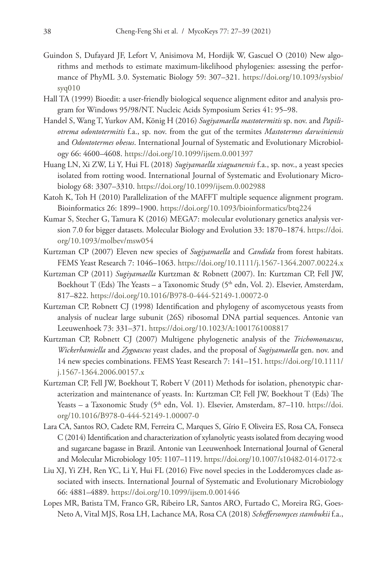- Guindon S, Dufayard JF, Lefort V, Anisimova M, Hordijk W, Gascuel O (2010) New algorithms and methods to estimate maximum-likelihood phylogenies: assessing the performance of PhyML 3.0. Systematic Biology 59: 307–321. [https://doi.org/10.1093/sysbio/](https://doi.org/10.1093/sysbio/syq010) [syq010](https://doi.org/10.1093/sysbio/syq010)
- Hall TA (1999) Bioedit: a user-friendly biological sequence alignment editor and analysis program for Windows 95/98/NT. Nucleic Acids Symposium Series 41: 95–98.
- Handel S, Wang T, Yurkov AM, König H (2016) *Sugiyamaella mastotermitis* sp. nov. and *Papiliotrema odontotermitis* f.a., sp. nov. from the gut of the termites *Mastotermes darwiniensis* and *Odontotermes obesus*. International Journal of Systematic and Evolutionary Microbiology 66: 4600–4608. <https://doi.org/10.1099/ijsem.0.001397>
- Huang LN, Xi ZW, Li Y, Hui FL (2018) *Sugiyamaella xiaguanensis* f.a., sp. nov., a yeast species isolated from rotting wood. International Journal of Systematic and Evolutionary Microbiology 68: 3307–3310. <https://doi.org/10.1099/ijsem.0.002988>
- Katoh K, Toh H (2010) Parallelization of the MAFFT multiple sequence alignment program. Bioinformatics 26: 1899–1900. <https://doi.org/10.1093/bioinformatics/btq224>
- Kumar S, Stecher G, Tamura K (2016) MEGA7: molecular evolutionary genetics analysis version 7.0 for bigger datasets. Molecular Biology and Evolution 33: 1870–1874. [https://doi.](https://doi.org/10.1093/molbev/msw054) [org/10.1093/molbev/msw054](https://doi.org/10.1093/molbev/msw054)
- Kurtzman CP (2007) Eleven new species of *Sugiyamaella* and *Candida* from forest habitats. FEMS Yeast Research 7: 1046–1063. <https://doi.org/10.1111/j.1567-1364.2007.00224.x>
- Kurtzman CP (2011) *Sugiyamaella* Kurtzman & Robnett (2007). In: Kurtzman CP, Fell JW, Boekhout T (Eds) The Yeasts – a Taxonomic Study ( $5<sup>th</sup>$  edn, Vol. 2). Elsevier, Amsterdam, 817–822.<https://doi.org/10.1016/B978-0-444-52149-1.00072-0>
- Kurtzman CP, Robnett CJ (1998) Identification and phylogeny of ascomycetous yeasts from analysis of nuclear large subunit (26S) ribosomal DNA partial sequences. Antonie van Leeuwenhoek 73: 331–371.<https://doi.org/10.1023/A:1001761008817>
- Kurtzman CP, Robnett CJ (2007) Multigene phylogenetic analysis of the *Trichomonascus*, *Wickerhamiella* and *Zygoascus* yeast clades, and the proposal of *Sugiyamaella* gen. nov. and 14 new species combinations. FEMS Yeast Research 7: 141–151. [https://doi.org/10.1111/](https://doi.org/10.1111/j.1567-1364.2006.00157.x) [j.1567-1364.2006.00157.x](https://doi.org/10.1111/j.1567-1364.2006.00157.x)
- Kurtzman CP, Fell JW, Boekhout T, Robert V (2011) Methods for isolation, phenotypic characterization and maintenance of yeasts. In: Kurtzman CP, Fell JW, Boekhout T (Eds) The Yeasts – a Taxonomic Study (5<sup>th</sup> edn, Vol. 1). Elsevier, Amsterdam, 87–110. [https://doi.](https://doi.org/10.1016/B978-0-444-52149-1.00007-0) [org/10.1016/B978-0-444-52149-1.00007-0](https://doi.org/10.1016/B978-0-444-52149-1.00007-0)
- Lara CA, Santos RO, Cadete RM, Ferreira C, Marques S, Gírio F, Oliveira ES, Rosa CA, Fonseca C (2014) Identification and characterization of xylanolytic yeasts isolated from decaying wood and sugarcane bagasse in Brazil. Antonie van Leeuwenhoek International Journal of General and Molecular Microbiology 105: 1107–1119. <https://doi.org/10.1007/s10482-014-0172-x>
- Liu XJ, Yi ZH, Ren YC, Li Y, Hui FL (2016) Five novel species in the Lodderomyces clade associated with insects. International Journal of Systematic and Evolutionary Microbiology 66: 4881–4889.<https://doi.org/10.1099/ijsem.0.001446>
- Lopes MR, Batista TM, Franco GR, Ribeiro LR, Santos ARO, Furtado C, Moreira RG, Goes-Neto A, Vital MJS, Rosa LH, Lachance MA, Rosa CA (2018) *Scheffersomyces stambukii* f.a.,